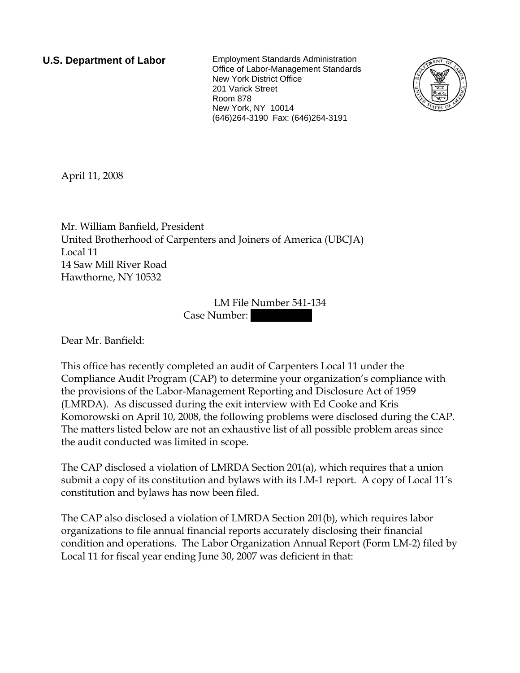**U.S. Department of Labor** Employment Standards Administration Office of Labor-Management Standards New York District Office 201 Varick Street Room 878 New York, NY 10014 (646)264-3190 Fax: (646)264-3191



April 11, 2008

Mr. William Banfield, President United Brotherhood of Carpenters and Joiners of America (UBCJA) Local 11 14 Saw Mill River Road Hawthorne, NY 10532

> LM File Number 541-134 Case Number:

Dear Mr. Banfield:

This office has recently completed an audit of Carpenters Local 11 under the Compliance Audit Program (CAP) to determine your organization's compliance with the provisions of the Labor-Management Reporting and Disclosure Act of 1959 (LMRDA). As discussed during the exit interview with Ed Cooke and Kris Komorowski on April 10, 2008, the following problems were disclosed during the CAP. The matters listed below are not an exhaustive list of all possible problem areas since the audit conducted was limited in scope.

The CAP disclosed a violation of LMRDA Section 201(a), which requires that a union submit a copy of its constitution and bylaws with its LM-1 report. A copy of Local 11's constitution and bylaws has now been filed.

The CAP also disclosed a violation of LMRDA Section 201(b), which requires labor organizations to file annual financial reports accurately disclosing their financial condition and operations. The Labor Organization Annual Report (Form LM-2) filed by Local 11 for fiscal year ending June 30, 2007 was deficient in that: